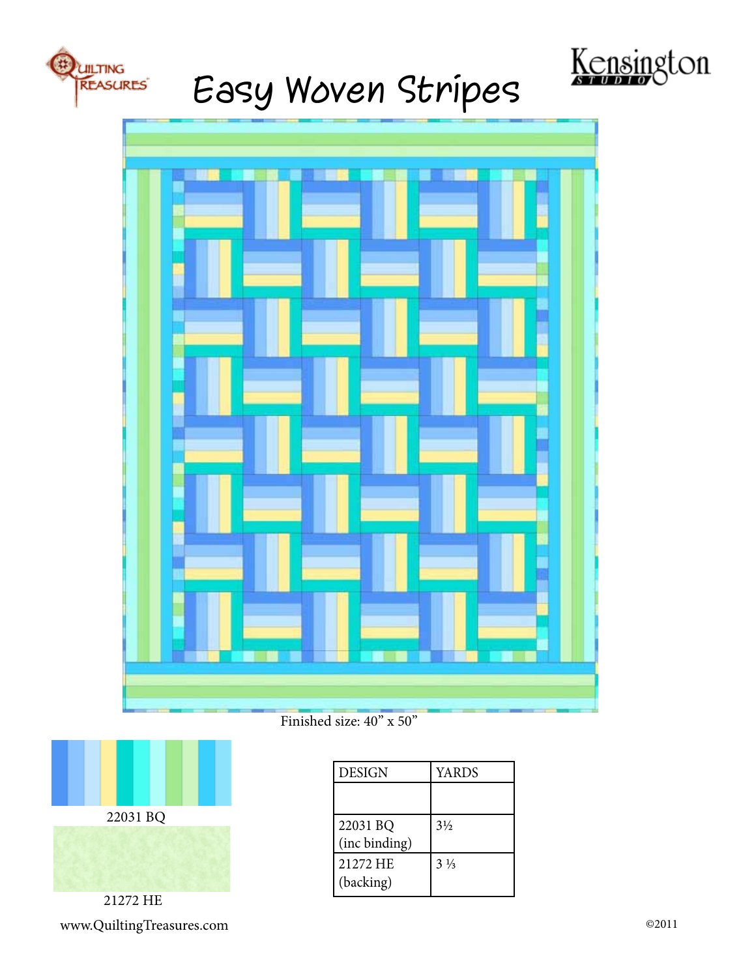

## Easy Woven Stripes





Finished size: 40" x 50"



21272 HE www.QuiltingTreasures.com ©2011

| <b>DESIGN</b>             | <b>YARDS</b>   |
|---------------------------|----------------|
|                           |                |
| 22031 BQ<br>(inc binding) | $3\frac{1}{2}$ |
| 21272 HE<br>(backing)     | $3\frac{1}{3}$ |